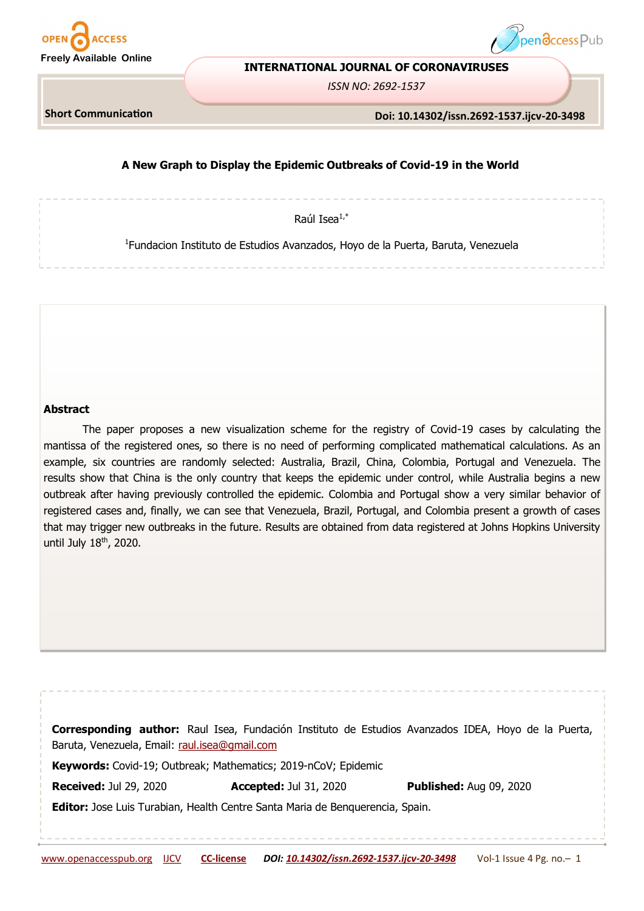



### **INTERNATIONAL JOURNAL OF CORONAVIRUSES**

*ISSN NO: 2692-1537*

**Short Communication** 

**Doi: 10.14302/issn.2692-1537.ijcv-20-3498**

# **A New Graph to Display the Epidemic Outbreaks of Covid-19 in the World**

Raúl Isea $1,^*$ 

1 Fundacion Instituto de Estudios Avanzados, Hoyo de la Puerta, Baruta, Venezuela

**Abstract**

The paper proposes a new visualization scheme for the registry of Covid-19 cases by calculating the mantissa of the registered ones, so there is no need of performing complicated mathematical calculations. As an example, six countries are randomly selected: Australia, Brazil, China, Colombia, Portugal and Venezuela. The results show that China is the only country that keeps the epidemic under control, while Australia begins a new outbreak after having previously controlled the epidemic. Colombia and Portugal show a very similar behavior of registered cases and, finally, we can see that Venezuela, Brazil, Portugal, and Colombia present a growth of cases that may trigger new outbreaks in the future. Results are obtained from data registered at Johns Hopkins University until July 18<sup>th</sup>, 2020.

**Corresponding author:** Raul Isea, Fundación Instituto de Estudios Avanzados IDEA, Hoyo de la Puerta, Baruta, Venezuela, Email: [raul.isea@gmail.com](mailto:raul.isea@gmail.com) **Keywords:** Covid-19; Outbreak; Mathematics; 2019-nCoV; Epidemic **Received:** Jul 29, 2020 **Accepted:** Jul 31, 2020 **Published:** Aug 09, 2020 **Editor:** Jose Luis Turabian, Health Centre Santa Maria de Benquerencia, Spain.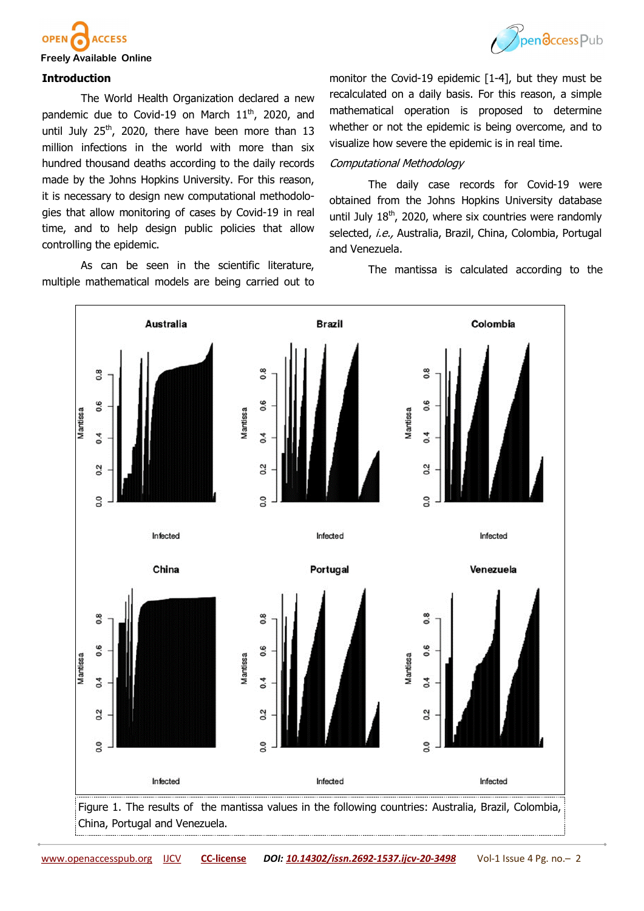



### **Freely Available Online**

### **Introduction**

The World Health Organization declared a new pandemic due to Covid-19 on March  $11<sup>th</sup>$ , 2020, and until July  $25<sup>th</sup>$ , 2020, there have been more than 13 million infections in the world with more than six hundred thousand deaths according to the daily records made by the Johns Hopkins University. For this reason, it is necessary to design new computational methodologies that allow monitoring of cases by Covid-19 in real time, and to help design public policies that allow controlling the epidemic.

As can be seen in the scientific literature, multiple mathematical models are being carried out to monitor the Covid-19 epidemic [1-4], but they must be recalculated on a daily basis. For this reason, a simple mathematical operation is proposed to determine whether or not the epidemic is being overcome, and to visualize how severe the epidemic is in real time.

### Computational Methodology

The daily case records for Covid-19 were obtained from the Johns Hopkins University database until July  $18<sup>th</sup>$ , 2020, where six countries were randomly selected, i.e., Australia, Brazil, China, Colombia, Portugal and Venezuela.

The mantissa is calculated according to the